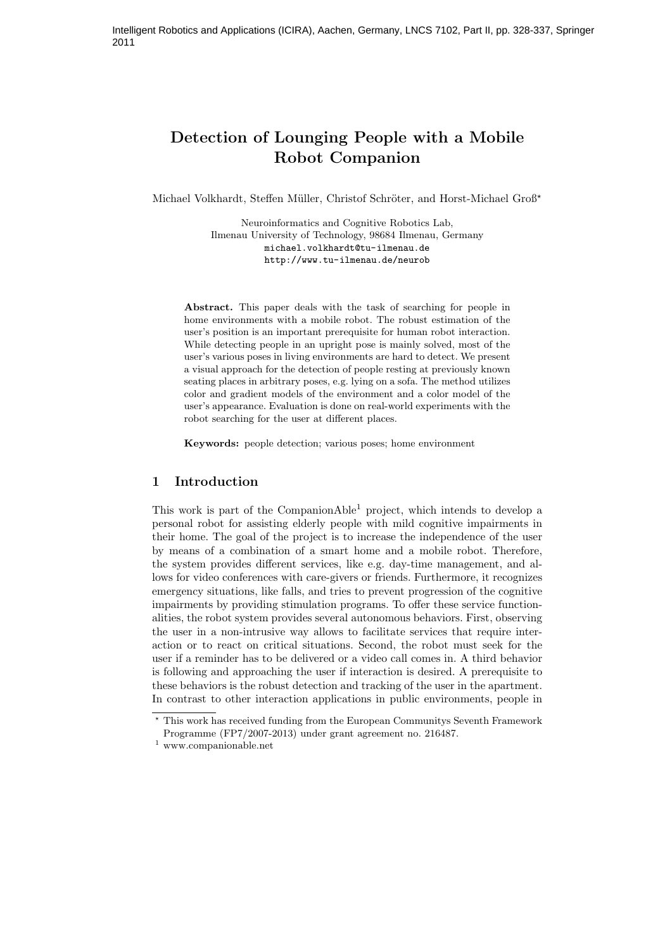Intelligent Robotics and Applications (ICIRA), Aachen, Germany, LNCS 7102, Part II, pp. 328-337, Springer 2011

# Detection of Lounging People with a Mobile Robot Companion

Michael Volkhardt, Steffen Müller, Christof Schröter, and Horst-Michael Groß<sup>\*</sup>

Neuroinformatics and Cognitive Robotics Lab, Ilmenau University of Technology, 98684 Ilmenau, Germany michael.volkhardt@tu-ilmenau.de http://www.tu-ilmenau.de/neurob

Abstract. This paper deals with the task of searching for people in home environments with a mobile robot. The robust estimation of the user's position is an important prerequisite for human robot interaction. While detecting people in an upright pose is mainly solved, most of the user's various poses in living environments are hard to detect. We present a visual approach for the detection of people resting at previously known seating places in arbitrary poses, e.g. lying on a sofa. The method utilizes color and gradient models of the environment and a color model of the user's appearance. Evaluation is done on real-world experiments with the robot searching for the user at different places.

Keywords: people detection; various poses; home environment

## 1 Introduction

This work is part of the CompanionAble<sup>1</sup> project, which intends to develop a personal robot for assisting elderly people with mild cognitive impairments in their home. The goal of the project is to increase the independence of the user by means of a combination of a smart home and a mobile robot. Therefore, the system provides different services, like e.g. day-time management, and allows for video conferences with care-givers or friends. Furthermore, it recognizes emergency situations, like falls, and tries to prevent progression of the cognitive impairments by providing stimulation programs. To offer these service functionalities, the robot system provides several autonomous behaviors. First, observing the user in a non-intrusive way allows to facilitate services that require interaction or to react on critical situations. Second, the robot must seek for the user if a reminder has to be delivered or a video call comes in. A third behavior is following and approaching the user if interaction is desired. A prerequisite to these behaviors is the robust detection and tracking of the user in the apartment. In contrast to other interaction applications in public environments, people in

 $^{\star}$  This work has received funding from the European Communitys Seventh Framework Programme (FP7/2007-2013) under grant agreement no. 216487.

 $^{\rm 1}$ www.companionable.net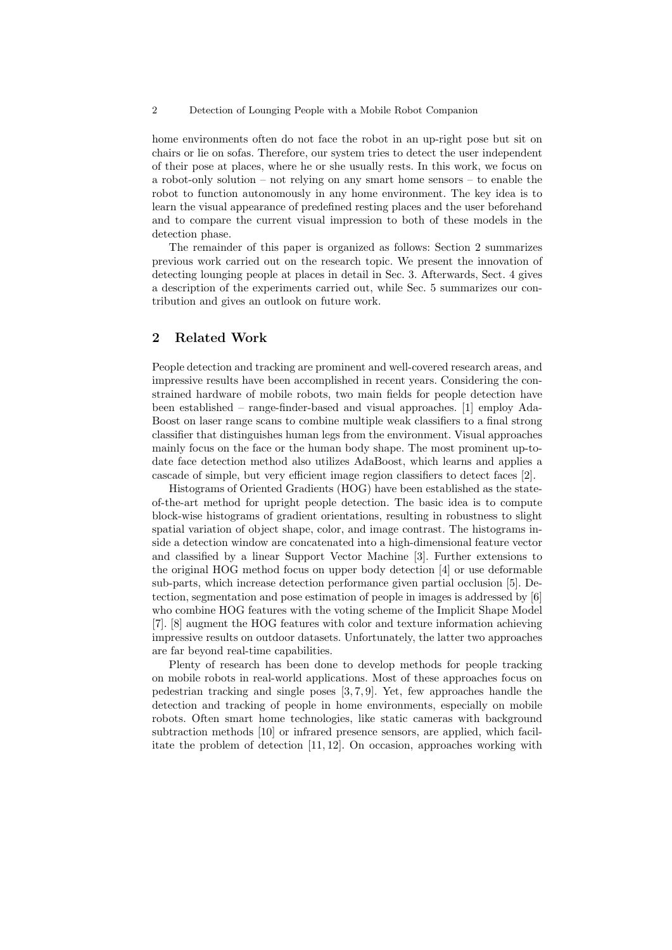home environments often do not face the robot in an up-right pose but sit on chairs or lie on sofas. Therefore, our system tries to detect the user independent of their pose at places, where he or she usually rests. In this work, we focus on a robot-only solution – not relying on any smart home sensors – to enable the robot to function autonomously in any home environment. The key idea is to learn the visual appearance of predefined resting places and the user beforehand and to compare the current visual impression to both of these models in the detection phase.

The remainder of this paper is organized as follows: Section 2 summarizes previous work carried out on the research topic. We present the innovation of detecting lounging people at places in detail in Sec. 3. Afterwards, Sect. 4 gives a description of the experiments carried out, while Sec. 5 summarizes our contribution and gives an outlook on future work.

## 2 Related Work

People detection and tracking are prominent and well-covered research areas, and impressive results have been accomplished in recent years. Considering the constrained hardware of mobile robots, two main fields for people detection have been established – range-finder-based and visual approaches. [1] employ Ada-Boost on laser range scans to combine multiple weak classifiers to a final strong classifier that distinguishes human legs from the environment. Visual approaches mainly focus on the face or the human body shape. The most prominent up-todate face detection method also utilizes AdaBoost, which learns and applies a cascade of simple, but very efficient image region classifiers to detect faces [2].

Histograms of Oriented Gradients (HOG) have been established as the stateof-the-art method for upright people detection. The basic idea is to compute block-wise histograms of gradient orientations, resulting in robustness to slight spatial variation of object shape, color, and image contrast. The histograms inside a detection window are concatenated into a high-dimensional feature vector and classified by a linear Support Vector Machine [3]. Further extensions to the original HOG method focus on upper body detection [4] or use deformable sub-parts, which increase detection performance given partial occlusion [5]. Detection, segmentation and pose estimation of people in images is addressed by [6] who combine HOG features with the voting scheme of the Implicit Shape Model [7]. [8] augment the HOG features with color and texture information achieving impressive results on outdoor datasets. Unfortunately, the latter two approaches are far beyond real-time capabilities.

Plenty of research has been done to develop methods for people tracking on mobile robots in real-world applications. Most of these approaches focus on pedestrian tracking and single poses [3, 7, 9]. Yet, few approaches handle the detection and tracking of people in home environments, especially on mobile robots. Often smart home technologies, like static cameras with background subtraction methods [10] or infrared presence sensors, are applied, which facilitate the problem of detection [11, 12]. On occasion, approaches working with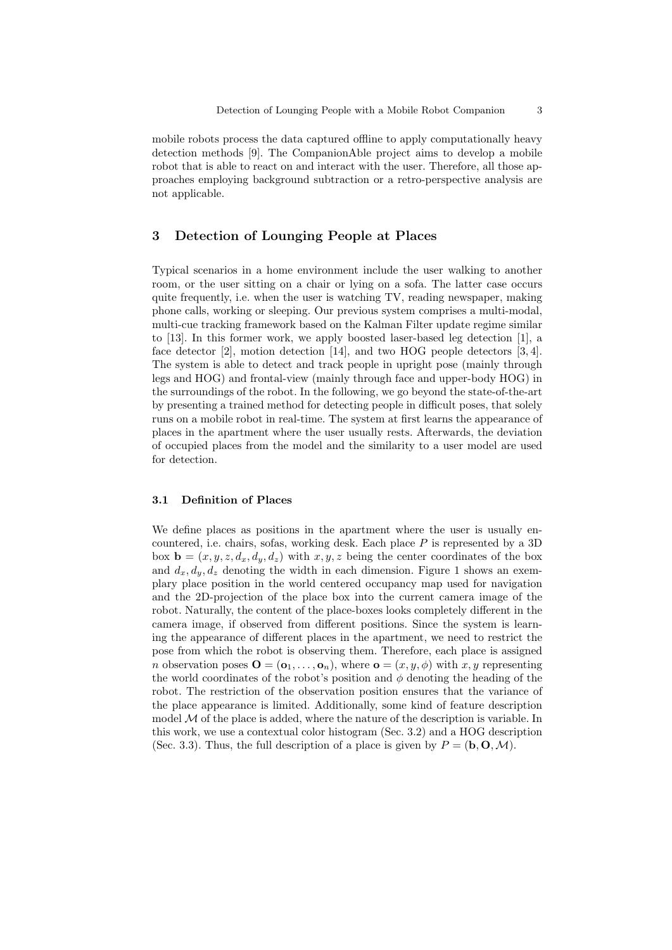mobile robots process the data captured offline to apply computationally heavy detection methods [9]. The CompanionAble project aims to develop a mobile robot that is able to react on and interact with the user. Therefore, all those approaches employing background subtraction or a retro-perspective analysis are not applicable.

## 3 Detection of Lounging People at Places

Typical scenarios in a home environment include the user walking to another room, or the user sitting on a chair or lying on a sofa. The latter case occurs quite frequently, i.e. when the user is watching TV, reading newspaper, making phone calls, working or sleeping. Our previous system comprises a multi-modal, multi-cue tracking framework based on the Kalman Filter update regime similar to [13]. In this former work, we apply boosted laser-based leg detection [1], a face detector [2], motion detection [14], and two HOG people detectors [3, 4]. The system is able to detect and track people in upright pose (mainly through legs and HOG) and frontal-view (mainly through face and upper-body HOG) in the surroundings of the robot. In the following, we go beyond the state-of-the-art by presenting a trained method for detecting people in difficult poses, that solely runs on a mobile robot in real-time. The system at first learns the appearance of places in the apartment where the user usually rests. Afterwards, the deviation of occupied places from the model and the similarity to a user model are used for detection.

### 3.1 Definition of Places

We define places as positions in the apartment where the user is usually encountered, i.e. chairs, sofas, working desk. Each place  $P$  is represented by a 3D box  $\mathbf{b} = (x, y, z, d_x, d_y, d_z)$  with  $x, y, z$  being the center coordinates of the box and  $d_x, d_y, d_z$  denoting the width in each dimension. Figure 1 shows an exemplary place position in the world centered occupancy map used for navigation and the 2D-projection of the place box into the current camera image of the robot. Naturally, the content of the place-boxes looks completely different in the camera image, if observed from different positions. Since the system is learning the appearance of different places in the apartment, we need to restrict the pose from which the robot is observing them. Therefore, each place is assigned *n* observation poses  $\mathbf{O} = (\mathbf{o}_1, \dots, \mathbf{o}_n)$ , where  $\mathbf{o} = (x, y, \phi)$  with x, y representing the world coordinates of the robot's position and  $\phi$  denoting the heading of the robot. The restriction of the observation position ensures that the variance of the place appearance is limited. Additionally, some kind of feature description model  $\mathcal M$  of the place is added, where the nature of the description is variable. In this work, we use a contextual color histogram (Sec. 3.2) and a HOG description (Sec. 3.3). Thus, the full description of a place is given by  $P = (b, 0, M)$ .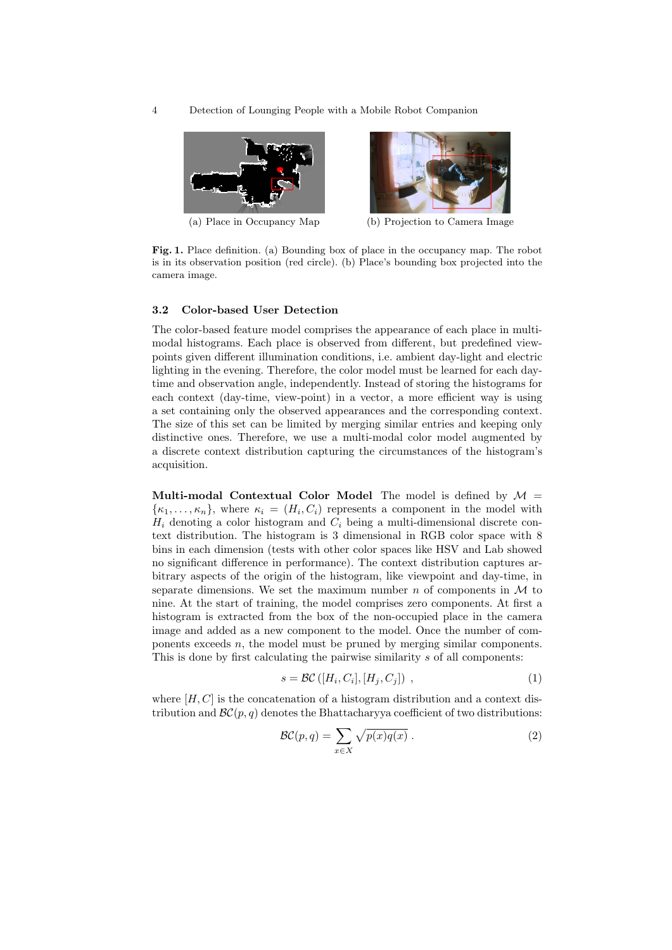



(a) Place in Occupancy Map (b) Projection to Camera Image

Fig. 1. Place definition. (a) Bounding box of place in the occupancy map. The robot is in its observation position (red circle). (b) Place's bounding box projected into the camera image.

#### 3.2 Color-based User Detection

The color-based feature model comprises the appearance of each place in multimodal histograms. Each place is observed from different, but predefined viewpoints given different illumination conditions, i.e. ambient day-light and electric lighting in the evening. Therefore, the color model must be learned for each daytime and observation angle, independently. Instead of storing the histograms for each context (day-time, view-point) in a vector, a more efficient way is using a set containing only the observed appearances and the corresponding context. The size of this set can be limited by merging similar entries and keeping only distinctive ones. Therefore, we use a multi-modal color model augmented by a discrete context distribution capturing the circumstances of the histogram's acquisition.

Multi-modal Contextual Color Model The model is defined by  $\mathcal{M} =$  $\{\kappa_1,\ldots,\kappa_n\}$ , where  $\kappa_i = (H_i, C_i)$  represents a component in the model with  $H_i$  denoting a color histogram and  $C_i$  being a multi-dimensional discrete context distribution. The histogram is 3 dimensional in RGB color space with 8 bins in each dimension (tests with other color spaces like HSV and Lab showed no significant difference in performance). The context distribution captures arbitrary aspects of the origin of the histogram, like viewpoint and day-time, in separate dimensions. We set the maximum number  $n$  of components in  $\mathcal M$  to nine. At the start of training, the model comprises zero components. At first a histogram is extracted from the box of the non-occupied place in the camera image and added as a new component to the model. Once the number of components exceeds n, the model must be pruned by merging similar components. This is done by first calculating the pairwise similarity s of all components:

$$
s = \mathcal{BC}\left([H_i, C_i], [H_j, C_j]\right) ,\tag{1}
$$

where  $[H, C]$  is the concatenation of a histogram distribution and a context distribution and  $\mathcal{BC}(p, q)$  denotes the Bhattachary a coefficient of two distributions:

$$
\mathcal{BC}(p,q) = \sum_{x \in X} \sqrt{p(x)q(x)} \,. \tag{2}
$$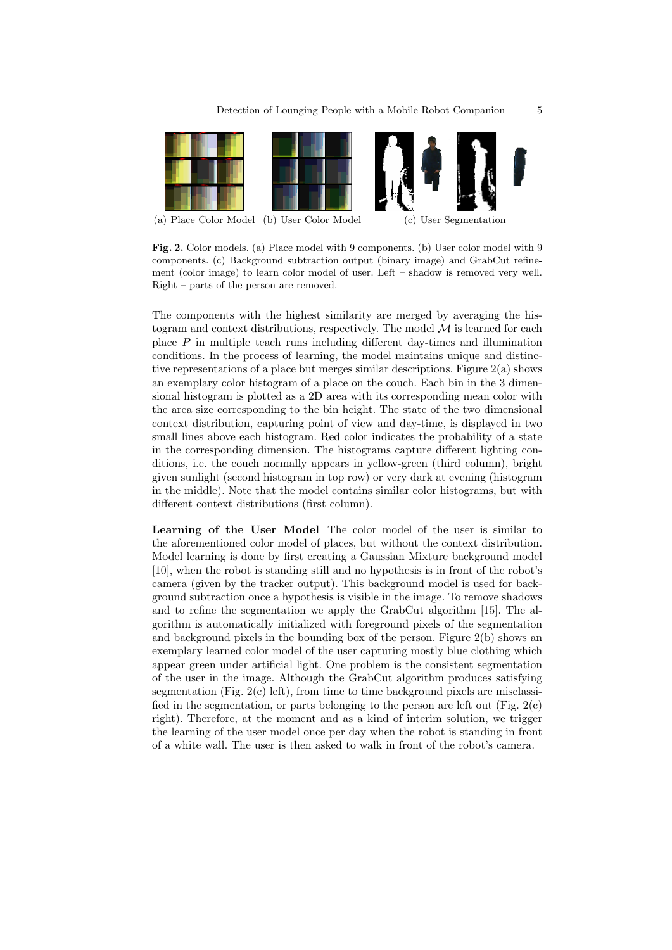

Fig. 2. Color models. (a) Place model with 9 components. (b) User color model with 9 components. (c) Background subtraction output (binary image) and GrabCut refinement (color image) to learn color model of user. Left – shadow is removed very well. Right – parts of the person are removed.

The components with the highest similarity are merged by averaging the histogram and context distributions, respectively. The model  $\mathcal M$  is learned for each place  $P$  in multiple teach runs including different day-times and illumination conditions. In the process of learning, the model maintains unique and distinctive representations of a place but merges similar descriptions. Figure  $2(a)$  shows an exemplary color histogram of a place on the couch. Each bin in the 3 dimensional histogram is plotted as a 2D area with its corresponding mean color with the area size corresponding to the bin height. The state of the two dimensional context distribution, capturing point of view and day-time, is displayed in two small lines above each histogram. Red color indicates the probability of a state in the corresponding dimension. The histograms capture different lighting conditions, i.e. the couch normally appears in yellow-green (third column), bright given sunlight (second histogram in top row) or very dark at evening (histogram in the middle). Note that the model contains similar color histograms, but with different context distributions (first column).

Learning of the User Model The color model of the user is similar to the aforementioned color model of places, but without the context distribution. Model learning is done by first creating a Gaussian Mixture background model [10], when the robot is standing still and no hypothesis is in front of the robot's camera (given by the tracker output). This background model is used for background subtraction once a hypothesis is visible in the image. To remove shadows and to refine the segmentation we apply the GrabCut algorithm [15]. The algorithm is automatically initialized with foreground pixels of the segmentation and background pixels in the bounding box of the person. Figure 2(b) shows an exemplary learned color model of the user capturing mostly blue clothing which appear green under artificial light. One problem is the consistent segmentation of the user in the image. Although the GrabCut algorithm produces satisfying segmentation (Fig. 2(c) left), from time to time background pixels are misclassified in the segmentation, or parts belonging to the person are left out (Fig.  $2(c)$ ) right). Therefore, at the moment and as a kind of interim solution, we trigger the learning of the user model once per day when the robot is standing in front of a white wall. The user is then asked to walk in front of the robot's camera.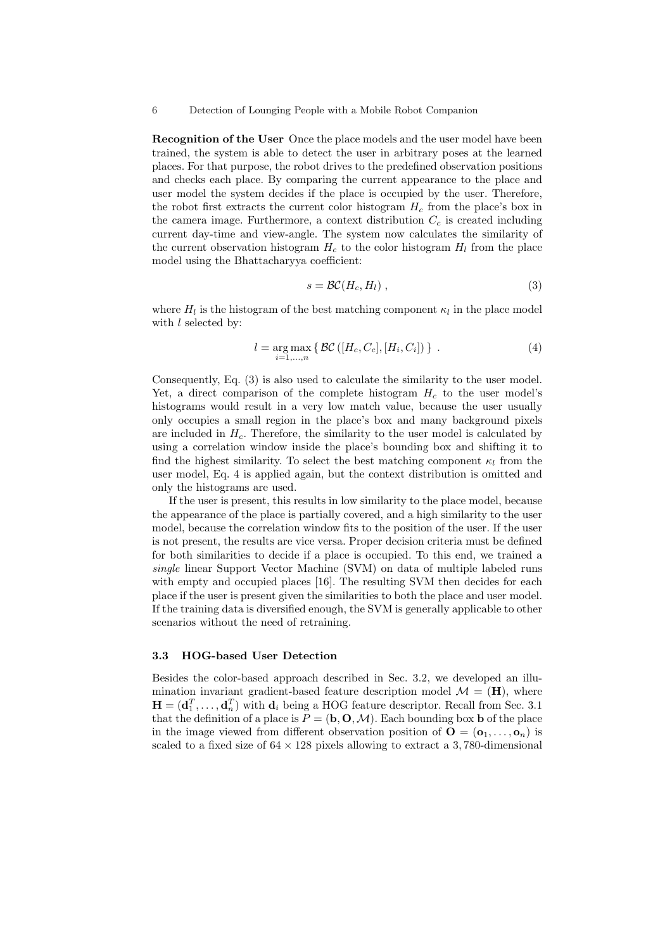**Recognition of the User** Once the place models and the user model have been trained, the system is able to detect the user in arbitrary poses at the learned places. For that purpose, the robot drives to the predefined observation positions and checks each place. By comparing the current appearance to the place and user model the system decides if the place is occupied by the user. Therefore, the robot first extracts the current color histogram  $H_c$  from the place's box in the camera image. Furthermore, a context distribution  $C_c$  is created including current day-time and view-angle. The system now calculates the similarity of the current observation histogram  $H_c$  to the color histogram  $H_l$  from the place model using the Bhattacharyya coefficient:

$$
s = \mathcal{BC}(H_c, H_l) \,, \tag{3}
$$

where  $H_l$  is the histogram of the best matching component  $\kappa_l$  in the place model with  $l$  selected by:

$$
l = \underset{i=1,...,n}{\arg \max} \{ \mathcal{BC} ([H_c, C_c], [H_i, C_i]) \} . \tag{4}
$$

Consequently, Eq. (3) is also used to calculate the similarity to the user model. Yet, a direct comparison of the complete histogram  $H_c$  to the user model's histograms would result in a very low match value, because the user usually only occupies a small region in the place's box and many background pixels are included in  $H_c$ . Therefore, the similarity to the user model is calculated by using a correlation window inside the place's bounding box and shifting it to find the highest similarity. To select the best matching component  $\kappa_l$  from the user model, Eq. 4 is applied again, but the context distribution is omitted and only the histograms are used.

If the user is present, this results in low similarity to the place model, because the appearance of the place is partially covered, and a high similarity to the user model, because the correlation window fits to the position of the user. If the user is not present, the results are vice versa. Proper decision criteria must be defined for both similarities to decide if a place is occupied. To this end, we trained a single linear Support Vector Machine (SVM) on data of multiple labeled runs with empty and occupied places [16]. The resulting SVM then decides for each place if the user is present given the similarities to both the place and user model. If the training data is diversified enough, the SVM is generally applicable to other scenarios without the need of retraining.

#### 3.3 HOG-based User Detection

Besides the color-based approach described in Sec. 3.2, we developed an illumination invariant gradient-based feature description model  $\mathcal{M} = (H)$ , where  $\mathbf{H} = (\mathbf{d}_1^T, \dots, \mathbf{d}_n^T)$  with  $\mathbf{d}_i$  being a HOG feature descriptor. Recall from Sec. 3.1 that the definition of a place is  $P = (\mathbf{b}, \mathbf{O}, \mathcal{M})$ . Each bounding box **b** of the place in the image viewed from different observation position of  $\mathbf{O} = (\mathbf{o}_1, \dots, \mathbf{o}_n)$  is scaled to a fixed size of  $64 \times 128$  pixels allowing to extract a 3,780-dimensional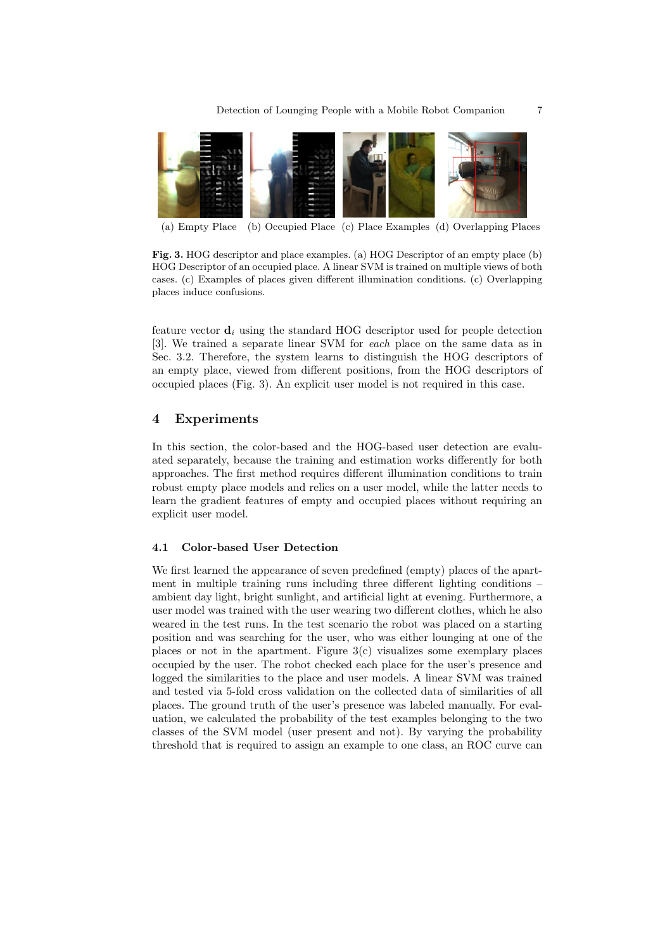

(a) Empty Place (b) Occupied Place (c) Place Examples (d) Overlapping Places

Fig. 3. HOG descriptor and place examples. (a) HOG Descriptor of an empty place (b) HOG Descriptor of an occupied place. A linear SVM is trained on multiple views of both cases. (c) Examples of places given different illumination conditions. (c) Overlapping places induce confusions.

feature vector  $\mathbf{d}_i$  using the standard HOG descriptor used for people detection [3]. We trained a separate linear SVM for each place on the same data as in Sec. 3.2. Therefore, the system learns to distinguish the HOG descriptors of an empty place, viewed from different positions, from the HOG descriptors of occupied places (Fig. 3). An explicit user model is not required in this case.

## 4 Experiments

In this section, the color-based and the HOG-based user detection are evaluated separately, because the training and estimation works differently for both approaches. The first method requires different illumination conditions to train robust empty place models and relies on a user model, while the latter needs to learn the gradient features of empty and occupied places without requiring an explicit user model.

## 4.1 Color-based User Detection

We first learned the appearance of seven predefined (empty) places of the apartment in multiple training runs including three different lighting conditions – ambient day light, bright sunlight, and artificial light at evening. Furthermore, a user model was trained with the user wearing two different clothes, which he also weared in the test runs. In the test scenario the robot was placed on a starting position and was searching for the user, who was either lounging at one of the places or not in the apartment. Figure  $3(c)$  visualizes some exemplary places occupied by the user. The robot checked each place for the user's presence and logged the similarities to the place and user models. A linear SVM was trained and tested via 5-fold cross validation on the collected data of similarities of all places. The ground truth of the user's presence was labeled manually. For evaluation, we calculated the probability of the test examples belonging to the two classes of the SVM model (user present and not). By varying the probability threshold that is required to assign an example to one class, an ROC curve can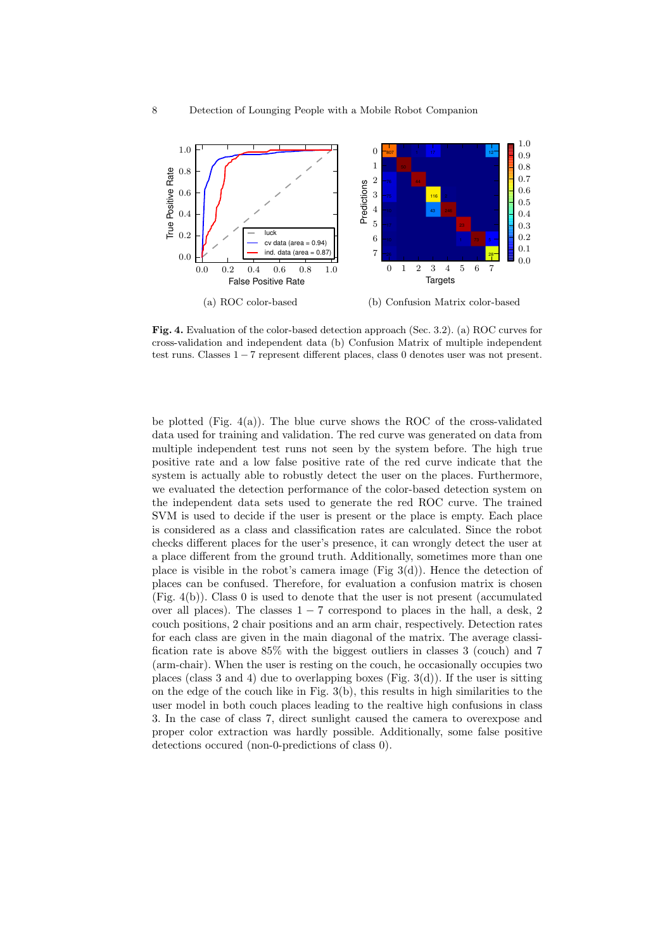

Fig. 4. Evaluation of the color-based detection approach (Sec. 3.2). (a) ROC curves for cross-validation and independent data (b) Confusion Matrix of multiple independent test runs. Classes 1 − 7 represent different places, class 0 denotes user was not present.

be plotted (Fig.  $4(a)$ ). The blue curve shows the ROC of the cross-validated data used for training and validation. The red curve was generated on data from multiple independent test runs not seen by the system before. The high true positive rate and a low false positive rate of the red curve indicate that the system is actually able to robustly detect the user on the places. Furthermore, we evaluated the detection performance of the color-based detection system on the independent data sets used to generate the red ROC curve. The trained SVM is used to decide if the user is present or the place is empty. Each place is considered as a class and classification rates are calculated. Since the robot checks different places for the user's presence, it can wrongly detect the user at a place different from the ground truth. Additionally, sometimes more than one place is visible in the robot's camera image (Fig  $3(d)$ ). Hence the detection of places can be confused. Therefore, for evaluation a confusion matrix is chosen (Fig. 4(b)). Class 0 is used to denote that the user is not present (accumulated over all places). The classes  $1 - 7$  correspond to places in the hall, a desk, 2 couch positions, 2 chair positions and an arm chair, respectively. Detection rates for each class are given in the main diagonal of the matrix. The average classification rate is above 85% with the biggest outliers in classes 3 (couch) and 7 (arm-chair). When the user is resting on the couch, he occasionally occupies two places (class 3 and 4) due to overlapping boxes (Fig.  $3(d)$ ). If the user is sitting on the edge of the couch like in Fig. 3(b), this results in high similarities to the user model in both couch places leading to the realtive high confusions in class 3. In the case of class 7, direct sunlight caused the camera to overexpose and proper color extraction was hardly possible. Additionally, some false positive detections occured (non-0-predictions of class 0).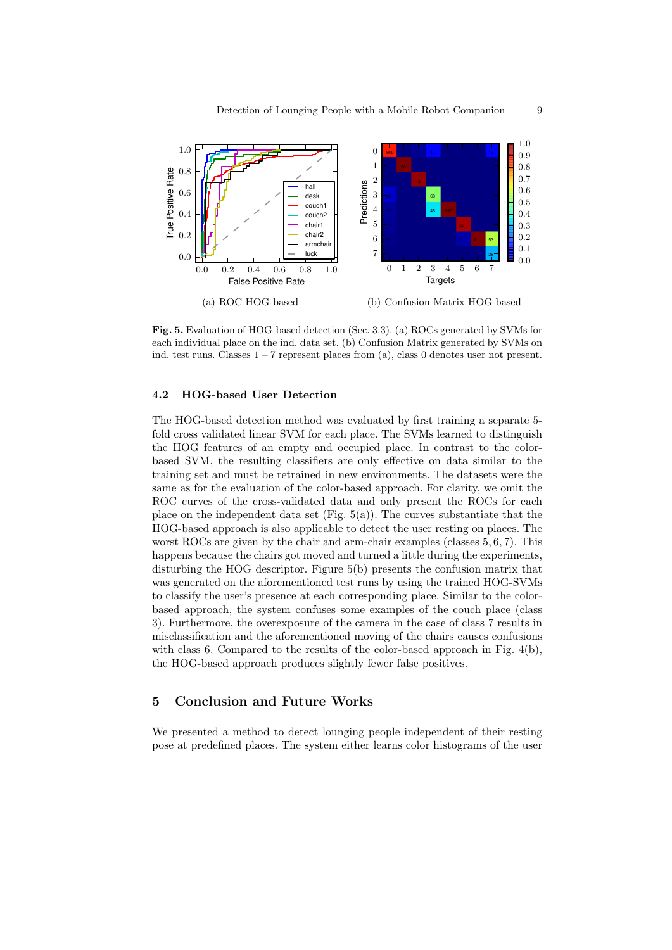

Fig. 5. Evaluation of HOG-based detection (Sec. 3.3). (a) ROCs generated by SVMs for each individual place on the ind. data set. (b) Confusion Matrix generated by SVMs on ind. test runs. Classes 1 − 7 represent places from (a), class 0 denotes user not present.

#### 4.2 HOG-based User Detection

The HOG-based detection method was evaluated by first training a separate 5 fold cross validated linear SVM for each place. The SVMs learned to distinguish the HOG features of an empty and occupied place. In contrast to the colorbased SVM, the resulting classifiers are only effective on data similar to the training set and must be retrained in new environments. The datasets were the same as for the evaluation of the color-based approach. For clarity, we omit the ROC curves of the cross-validated data and only present the ROCs for each place on the independent data set  $(Fig. 5(a))$ . The curves substantiate that the HOG-based approach is also applicable to detect the user resting on places. The worst ROCs are given by the chair and arm-chair examples (classes 5, 6, 7). This happens because the chairs got moved and turned a little during the experiments, disturbing the HOG descriptor. Figure 5(b) presents the confusion matrix that was generated on the aforementioned test runs by using the trained HOG-SVMs to classify the user's presence at each corresponding place. Similar to the colorbased approach, the system confuses some examples of the couch place (class 3). Furthermore, the overexposure of the camera in the case of class 7 results in misclassification and the aforementioned moving of the chairs causes confusions with class 6. Compared to the results of the color-based approach in Fig. 4(b), the HOG-based approach produces slightly fewer false positives.

## 5 Conclusion and Future Works

We presented a method to detect lounging people independent of their resting pose at predefined places. The system either learns color histograms of the user